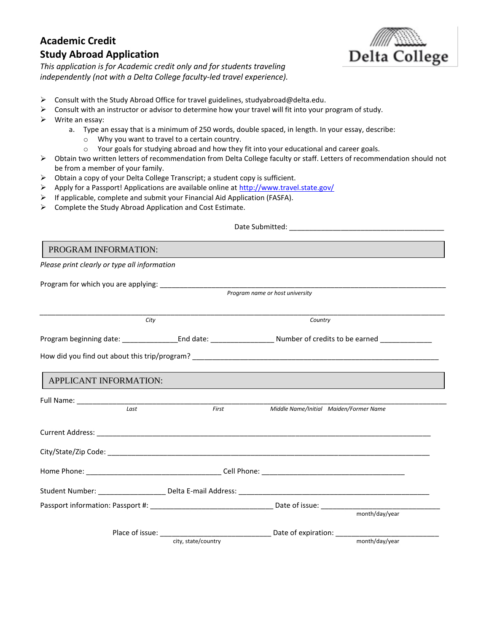## **Academic Credit Study Abroad Application**



*This application is for Academic credit only and for students traveling independently (not with a Delta College faculty-led travel experience).*

- ➢ Consult with the Study Abroad Office for travel guidelines, studyabroad@delta.edu.
- $\triangleright$  Consult with an instructor or advisor to determine how your travel will fit into your program of study.
- ➢ Write an essay:
	- a. Type an essay that is a minimum of 250 words, double spaced, in length. In your essay, describe:
		- o Why you want to travel to a certain country.
		- o Your goals for studying abroad and how they fit into your educational and career goals.
- ➢ Obtain two written letters of recommendation from Delta College faculty or staff. Letters of recommendation should not be from a member of your family.
- ➢ Obtain a copy of your Delta College Transcript; a student copy is sufficient.
- $\triangleright$  Apply for a Passport! Applications are available online a[t http://www.travel.state.gov/](http://www.travel.state.gov/)
- ➢ If applicable, complete and submit your Financial Aid Application (FASFA).
- ➢ Complete the Study Abroad Application and Cost Estimate.

 Date Submitted: \_\_\_\_\_\_\_\_\_\_\_\_\_\_\_\_\_\_\_\_\_\_\_\_\_\_\_\_\_\_\_\_\_\_\_\_\_\_\_ *Please print clearly or type all information* Program for which you are applying: \_\_\_\_\_\_\_\_\_\_\_\_\_\_\_\_\_\_\_\_\_\_\_\_\_\_\_\_\_\_\_\_\_\_\_\_\_\_\_\_\_\_\_\_\_\_\_\_\_\_\_\_\_\_\_\_\_\_\_\_\_\_\_\_\_\_\_\_\_\_\_\_ *Program name or host university \_\_\_\_\_\_\_\_\_\_\_\_\_\_\_\_\_\_\_\_\_\_\_\_\_\_\_\_\_\_\_\_\_\_\_\_\_\_\_\_\_\_\_\_\_\_\_\_\_\_\_\_\_\_\_\_\_\_\_\_\_\_\_\_\_\_\_\_\_\_\_\_\_\_\_\_\_\_\_\_\_\_\_\_\_\_\_\_\_\_\_\_\_\_\_\_\_\_\_\_\_\_ City Country* Program beginning date: end date: end date: end at the Number of credits to be earned program beginning date: How did you find out about this trip/program? \_\_\_\_\_\_\_\_\_\_\_\_\_\_\_\_\_\_\_\_\_\_\_\_\_\_\_\_\_\_\_\_\_\_\_ Full Name: \_\_\_\_\_\_\_\_\_\_\_\_\_\_\_\_\_\_\_\_\_\_\_\_\_\_\_\_\_\_\_\_\_\_\_\_\_\_\_\_\_\_\_\_\_\_\_\_\_\_\_\_\_\_\_\_\_\_\_\_\_\_\_\_\_\_\_\_\_\_\_\_\_\_\_\_\_\_\_\_\_\_\_\_\_\_\_\_\_\_\_\_\_ *Last First Middle Name/Initial Maiden/Former Name* Current Address: \_\_\_\_\_\_\_\_\_\_\_\_\_\_\_\_\_\_\_\_\_\_\_\_\_\_\_\_\_\_\_\_\_\_\_\_\_\_\_\_\_\_\_\_\_\_\_\_\_\_\_\_\_\_\_\_\_\_\_\_\_\_\_\_\_\_\_\_\_\_\_\_\_\_\_\_\_\_\_\_\_\_\_\_ City/State/Zip Code:  $\overline{C}$ Home Phone: The contract of the contract of the contract of the contract of the contract of the contract of the contract of the contract of the contract of the contract of the contract of the contract of the contract of th Student Number: \_\_\_\_\_\_\_\_\_\_\_\_\_\_\_\_\_\_\_\_\_\_\_ Delta E-mail Address: \_\_\_\_\_\_\_\_\_\_\_\_\_\_\_\_\_\_ Passport information: Passport #: \_\_\_\_\_\_\_\_\_\_\_\_\_\_\_\_\_\_\_\_\_\_\_\_\_\_\_\_\_\_\_ Date of issue: \_\_\_\_\_\_\_\_\_\_\_\_\_\_\_\_\_\_\_\_\_\_\_\_\_\_\_\_\_\_ month/day/year Place of issue: expiration: city, state/country month/day/year PROGRAM INFORMATION: APPLICANT INFORMATION: